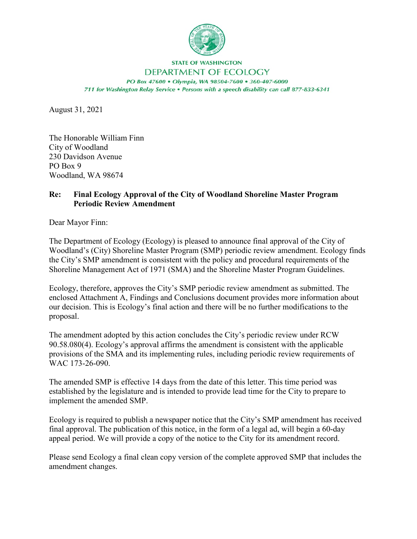

## **STATE OF WASHINGTON**

## DEPARTMENT OF ECOLOGY

PO Box 47600 . Olympia, WA 98504-7600 . 360-407-6000 711 for Washington Relay Service . Persons with a speech disability can call 877-833-6341

August 31, 2021

The Honorable William Finn City of Woodland 230 Davidson Avenue PO Box 9 Woodland, WA 98674

## **Re: Final Ecology Approval of the City of Woodland Shoreline Master Program Periodic Review Amendment**

Dear Mayor Finn:

The Department of Ecology (Ecology) is pleased to announce final approval of the City of Woodland's (City) Shoreline Master Program (SMP) periodic review amendment. Ecology finds the City's SMP amendment is consistent with the policy and procedural requirements of the Shoreline Management Act of 1971 (SMA) and the Shoreline Master Program Guidelines.

Ecology, therefore, approves the City's SMP periodic review amendment as submitted. The enclosed Attachment A, Findings and Conclusions document provides more information about our decision. This is Ecology's final action and there will be no further modifications to the proposal.

The amendment adopted by this action concludes the City's periodic review under RCW 90.58.080(4). Ecology's approval affirms the amendment is consistent with the applicable provisions of the SMA and its implementing rules, including periodic review requirements of WAC 173-26-090.

The amended SMP is effective 14 days from the date of this letter. This time period was established by the legislature and is intended to provide lead time for the City to prepare to implement the amended SMP.

Ecology is required to publish a newspaper notice that the City's SMP amendment has received final approval. The publication of this notice, in the form of a legal ad, will begin a 60-day appeal period. We will provide a copy of the notice to the City for its amendment record.

Please send Ecology a final clean copy version of the complete approved SMP that includes the amendment changes.